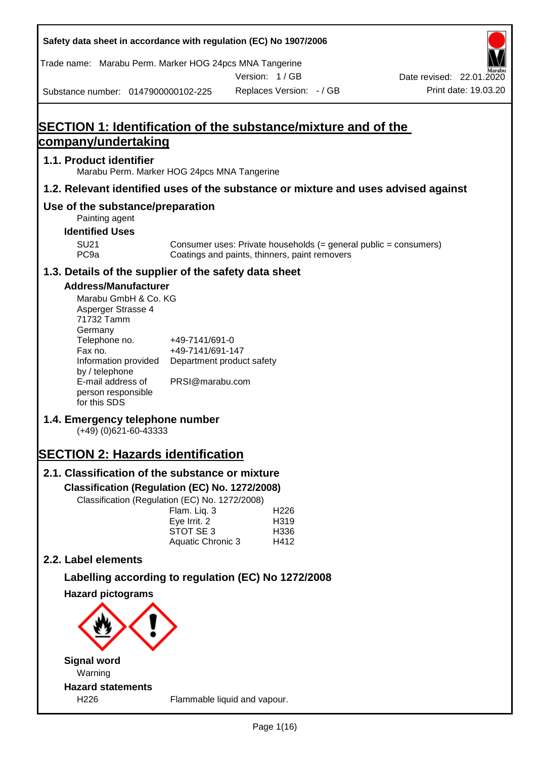| Safety data sheet in accordance with regulation (EC) No 1907/2006      |                                       |                                                     |                                                                                    |
|------------------------------------------------------------------------|---------------------------------------|-----------------------------------------------------|------------------------------------------------------------------------------------|
| Trade name: Marabu Perm. Marker HOG 24pcs MNA Tangerine                |                                       |                                                     |                                                                                    |
|                                                                        |                                       | Version: 1/GB                                       | Date revised: 22.01.2020                                                           |
| Substance number: 0147900000102-225                                    |                                       | Replaces Version: - / GB                            | Print date: 19.03.20                                                               |
|                                                                        |                                       |                                                     |                                                                                    |
| SECTION 1: Identification of the substance/mixture and of the          |                                       |                                                     |                                                                                    |
| <u>company/undertaking</u>                                             |                                       |                                                     |                                                                                    |
| 1.1. Product identifier<br>Marabu Perm. Marker HOG 24pcs MNA Tangerine |                                       |                                                     |                                                                                    |
|                                                                        |                                       |                                                     | 1.2. Relevant identified uses of the substance or mixture and uses advised against |
| Use of the substance/preparation                                       |                                       |                                                     |                                                                                    |
| Painting agent                                                         |                                       |                                                     |                                                                                    |
| <b>Identified Uses</b>                                                 |                                       |                                                     |                                                                                    |
| <b>SU21</b><br>PC <sub>9a</sub>                                        |                                       | Coatings and paints, thinners, paint removers       | Consumer uses: Private households (= general public = consumers)                   |
| 1.3. Details of the supplier of the safety data sheet                  |                                       |                                                     |                                                                                    |
| <b>Address/Manufacturer</b>                                            |                                       |                                                     |                                                                                    |
| Marabu GmbH & Co. KG                                                   |                                       |                                                     |                                                                                    |
| Asperger Strasse 4<br>71732 Tamm                                       |                                       |                                                     |                                                                                    |
| Germany                                                                |                                       |                                                     |                                                                                    |
| Telephone no.<br>Fax no.                                               | +49-7141/691-0<br>+49-7141/691-147    |                                                     |                                                                                    |
| Information provided                                                   | Department product safety             |                                                     |                                                                                    |
| by / telephone<br>E-mail address of                                    | PRSI@marabu.com                       |                                                     |                                                                                    |
| person responsible                                                     |                                       |                                                     |                                                                                    |
| for this SDS                                                           |                                       |                                                     |                                                                                    |
| 1.4. Emergency telephone number<br>$(+49)$ (0)621-60-43333             |                                       |                                                     |                                                                                    |
|                                                                        |                                       |                                                     |                                                                                    |
| <b>SECTION 2: Hazards identification</b>                               |                                       |                                                     |                                                                                    |
| 2.1. Classification of the substance or mixture                        |                                       |                                                     |                                                                                    |
| Classification (Regulation (EC) No. 1272/2008)                         |                                       |                                                     |                                                                                    |
| Classification (Regulation (EC) No. 1272/2008)                         | Flam. Liq. 3                          | H <sub>226</sub>                                    |                                                                                    |
|                                                                        | Eye Irrit. 2                          | H319                                                |                                                                                    |
|                                                                        | STOT SE 3<br><b>Aquatic Chronic 3</b> | H336<br>H412                                        |                                                                                    |
| 2.2. Label elements                                                    |                                       |                                                     |                                                                                    |
|                                                                        |                                       |                                                     |                                                                                    |
|                                                                        |                                       | Labelling according to regulation (EC) No 1272/2008 |                                                                                    |
| <b>Hazard pictograms</b>                                               |                                       |                                                     |                                                                                    |
|                                                                        |                                       |                                                     |                                                                                    |
|                                                                        |                                       |                                                     |                                                                                    |
|                                                                        |                                       |                                                     |                                                                                    |
| Signal word                                                            |                                       |                                                     |                                                                                    |

**Signal word** Warning **Hazard statements**

I

H226 Flammable liquid and vapour.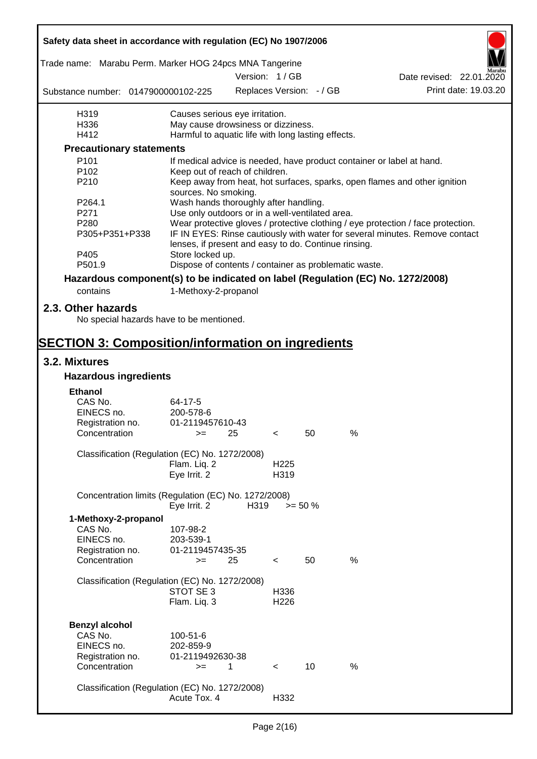| Safety data sheet in accordance with regulation (EC) No 1907/2006               |                                                                                                                                     |      |                          |            |      |                                                                                  |  |
|---------------------------------------------------------------------------------|-------------------------------------------------------------------------------------------------------------------------------------|------|--------------------------|------------|------|----------------------------------------------------------------------------------|--|
| Trade name: Marabu Perm. Marker HOG 24pcs MNA Tangerine                         |                                                                                                                                     |      |                          |            |      |                                                                                  |  |
|                                                                                 |                                                                                                                                     |      | Version: 1 / GB          |            |      | Date revised: 22.01.2020                                                         |  |
| Substance number: 0147900000102-225                                             |                                                                                                                                     |      | Replaces Version: - / GB |            |      | Print date: 19.03.20                                                             |  |
| H319                                                                            | Causes serious eye irritation.                                                                                                      |      |                          |            |      |                                                                                  |  |
| H336                                                                            | May cause drowsiness or dizziness.                                                                                                  |      |                          |            |      |                                                                                  |  |
| H412                                                                            | Harmful to aquatic life with long lasting effects.                                                                                  |      |                          |            |      |                                                                                  |  |
| <b>Precautionary statements</b>                                                 |                                                                                                                                     |      |                          |            |      |                                                                                  |  |
| P <sub>101</sub>                                                                |                                                                                                                                     |      |                          |            |      | If medical advice is needed, have product container or label at hand.            |  |
| P <sub>102</sub>                                                                | Keep out of reach of children.                                                                                                      |      |                          |            |      |                                                                                  |  |
| P210                                                                            | sources. No smoking.                                                                                                                |      |                          |            |      | Keep away from heat, hot surfaces, sparks, open flames and other ignition        |  |
| P264.1                                                                          | Wash hands thoroughly after handling.                                                                                               |      |                          |            |      |                                                                                  |  |
| P271                                                                            | Use only outdoors or in a well-ventilated area.                                                                                     |      |                          |            |      |                                                                                  |  |
| P280                                                                            |                                                                                                                                     |      |                          |            |      | Wear protective gloves / protective clothing / eye protection / face protection. |  |
| P305+P351+P338                                                                  | IF IN EYES: Rinse cautiously with water for several minutes. Remove contact<br>lenses, if present and easy to do. Continue rinsing. |      |                          |            |      |                                                                                  |  |
| P405                                                                            | Store locked up.                                                                                                                    |      |                          |            |      |                                                                                  |  |
| P501.9                                                                          | Dispose of contents / container as problematic waste.                                                                               |      |                          |            |      |                                                                                  |  |
| Hazardous component(s) to be indicated on label (Regulation (EC) No. 1272/2008) |                                                                                                                                     |      |                          |            |      |                                                                                  |  |
| contains                                                                        | 1-Methoxy-2-propanol                                                                                                                |      |                          |            |      |                                                                                  |  |
| 2.3. Other hazards<br>No special hazards have to be mentioned.                  |                                                                                                                                     |      |                          |            |      |                                                                                  |  |
| <b>SECTION 3: Composition/information on ingredients</b>                        |                                                                                                                                     |      |                          |            |      |                                                                                  |  |
| 3.2. Mixtures                                                                   |                                                                                                                                     |      |                          |            |      |                                                                                  |  |
| <b>Hazardous ingredients</b>                                                    |                                                                                                                                     |      |                          |            |      |                                                                                  |  |
| <b>Ethanol</b>                                                                  |                                                                                                                                     |      |                          |            |      |                                                                                  |  |
| CAS No.                                                                         | 64-17-5                                                                                                                             |      |                          |            |      |                                                                                  |  |
| EINECS no.                                                                      | 200-578-6                                                                                                                           |      |                          |            |      |                                                                                  |  |
| Registration no.                                                                | 01-2119457610-43                                                                                                                    |      |                          |            |      |                                                                                  |  |
| Concentration                                                                   | $>=$ 25                                                                                                                             |      | $\epsilon$               | 50         | %    |                                                                                  |  |
|                                                                                 |                                                                                                                                     |      |                          |            |      |                                                                                  |  |
| Classification (Regulation (EC) No. 1272/2008)                                  |                                                                                                                                     |      |                          |            |      |                                                                                  |  |
|                                                                                 | Flam. Liq. 2                                                                                                                        |      | H <sub>225</sub>         |            |      |                                                                                  |  |
|                                                                                 | Eye Irrit. 2                                                                                                                        |      | H319                     |            |      |                                                                                  |  |
| Concentration limits (Regulation (EC) No. 1272/2008)                            | Eye Irrit. 2                                                                                                                        | H319 |                          | $>= 50 \%$ |      |                                                                                  |  |
| 1-Methoxy-2-propanol                                                            |                                                                                                                                     |      |                          |            |      |                                                                                  |  |
| CAS No.                                                                         | 107-98-2                                                                                                                            |      |                          |            |      |                                                                                  |  |
| EINECS no.                                                                      | 203-539-1                                                                                                                           |      |                          |            |      |                                                                                  |  |
| Registration no.                                                                | 01-2119457435-35                                                                                                                    |      |                          |            |      |                                                                                  |  |
| Concentration                                                                   | $>=$                                                                                                                                | 25   | $\,<\,$                  | 50         | $\%$ |                                                                                  |  |
|                                                                                 |                                                                                                                                     |      |                          |            |      |                                                                                  |  |
| Classification (Regulation (EC) No. 1272/2008)                                  |                                                                                                                                     |      |                          |            |      |                                                                                  |  |
|                                                                                 | STOT SE 3                                                                                                                           |      | H336                     |            |      |                                                                                  |  |
|                                                                                 | Flam. Liq. 3                                                                                                                        |      | H <sub>226</sub>         |            |      |                                                                                  |  |
|                                                                                 |                                                                                                                                     |      |                          |            |      |                                                                                  |  |
| <b>Benzyl alcohol</b>                                                           |                                                                                                                                     |      |                          |            |      |                                                                                  |  |
| CAS No.                                                                         | 100-51-6                                                                                                                            |      |                          |            |      |                                                                                  |  |
| EINECS no.                                                                      | 202-859-9                                                                                                                           |      |                          |            |      |                                                                                  |  |
| Registration no.                                                                | 01-2119492630-38                                                                                                                    |      |                          |            |      |                                                                                  |  |
| Concentration                                                                   | $>=$                                                                                                                                | 1    | $\prec$                  | 10         | %    |                                                                                  |  |
| Classification (Regulation (EC) No. 1272/2008)                                  |                                                                                                                                     |      |                          |            |      |                                                                                  |  |
|                                                                                 | Acute Tox. 4                                                                                                                        |      | H332                     |            |      |                                                                                  |  |
|                                                                                 |                                                                                                                                     |      |                          |            |      |                                                                                  |  |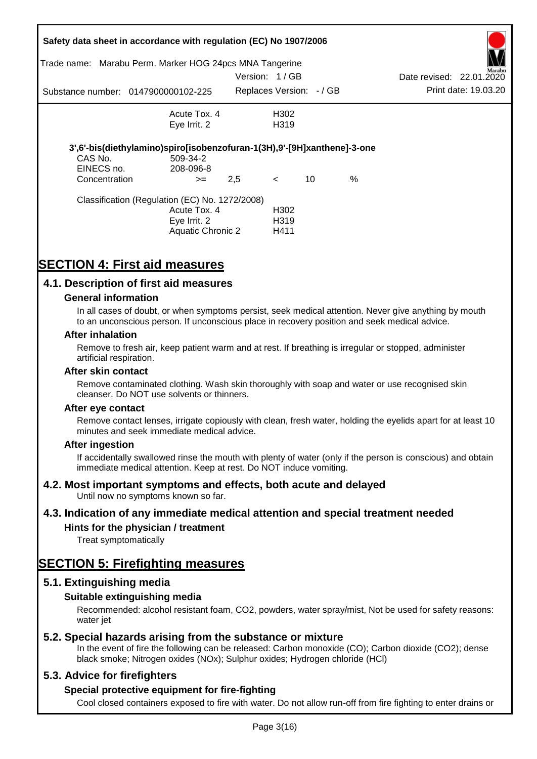| Trade name:                 | Safety data sheet in accordance with regulation (EC) No 1907/2006<br>Marabu Perm. Marker HOG 24pcs MNA Tangerine |               |                         |    |   |                          |                      |
|-----------------------------|------------------------------------------------------------------------------------------------------------------|---------------|-------------------------|----|---|--------------------------|----------------------|
|                             |                                                                                                                  | Version: 1/GB |                         |    |   | Date revised: 22.01.2020 | Marabu               |
|                             | Substance number: 0147900000102-225                                                                              |               | Replaces Version: -/ GB |    |   |                          | Print date: 19.03.20 |
|                             | Acute Tox, 4                                                                                                     |               | H302                    |    |   |                          |                      |
|                             | Eye Irrit. 2                                                                                                     |               | H <sub>3</sub> 19       |    |   |                          |                      |
|                             | 3',6'-bis(diethylamino)spiro[isobenzofuran-1(3H),9'-[9H]xanthene]-3-one                                          |               |                         |    |   |                          |                      |
| CAS No.                     | 509-34-2<br>208-096-8                                                                                            |               |                         |    |   |                          |                      |
| EINECS no.<br>Concentration | $>=$                                                                                                             | 2,5           | $\lt$                   | 10 | % |                          |                      |
|                             | Classification (Regulation (EC) No. 1272/2008)                                                                   |               |                         |    |   |                          |                      |
|                             | Acute Tox. 4                                                                                                     |               | H <sub>302</sub>        |    |   |                          |                      |
|                             | Eye Irrit. 2                                                                                                     |               | H319                    |    |   |                          |                      |
|                             | Aquatic Chronic 2                                                                                                |               | H411                    |    |   |                          |                      |

# **SECTION 4: First aid measures**

## **4.1. Description of first aid measures**

#### **General information**

In all cases of doubt, or when symptoms persist, seek medical attention. Never give anything by mouth to an unconscious person. If unconscious place in recovery position and seek medical advice.

#### **After inhalation**

Remove to fresh air, keep patient warm and at rest. If breathing is irregular or stopped, administer artificial respiration.

#### **After skin contact**

Remove contaminated clothing. Wash skin thoroughly with soap and water or use recognised skin cleanser. Do NOT use solvents or thinners.

#### **After eye contact**

Remove contact lenses, irrigate copiously with clean, fresh water, holding the eyelids apart for at least 10 minutes and seek immediate medical advice.

#### **After ingestion**

If accidentally swallowed rinse the mouth with plenty of water (only if the person is conscious) and obtain immediate medical attention. Keep at rest. Do NOT induce vomiting.

## **4.2. Most important symptoms and effects, both acute and delayed**

Until now no symptoms known so far.

## **4.3. Indication of any immediate medical attention and special treatment needed**

## **Hints for the physician / treatment**

Treat symptomatically

## **SECTION 5: Firefighting measures**

## **5.1. Extinguishing media**

## **Suitable extinguishing media**

Recommended: alcohol resistant foam, CO2, powders, water spray/mist, Not be used for safety reasons: water *iet* 

## **5.2. Special hazards arising from the substance or mixture**

In the event of fire the following can be released: Carbon monoxide (CO); Carbon dioxide (CO2); dense black smoke; Nitrogen oxides (NOx); Sulphur oxides; Hydrogen chloride (HCl)

## **5.3. Advice for firefighters**

## **Special protective equipment for fire-fighting**

Cool closed containers exposed to fire with water. Do not allow run-off from fire fighting to enter drains or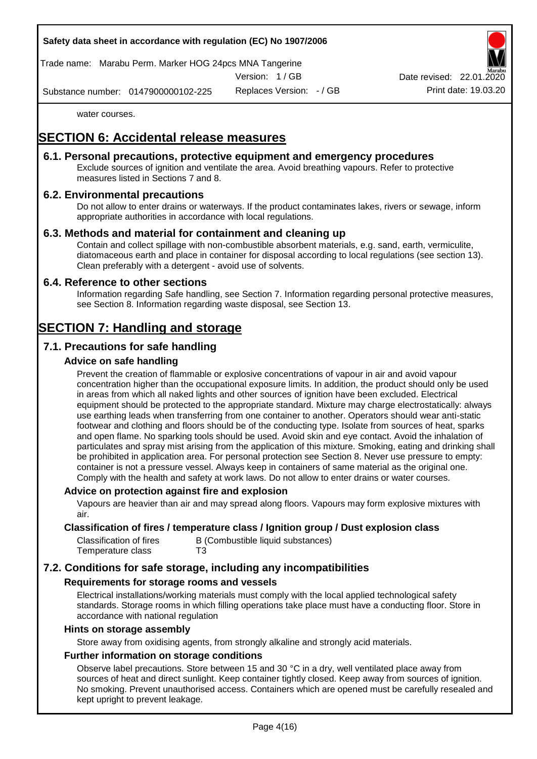

Trade name: Marabu Perm. Marker HOG 24pcs MNA Tangerine

Version: 1 / GB

Replaces Version: - / GB Print date: 19.03.20 Date revised: 22.01.

Substance number: 0147900000102-225

water courses.

# **SECTION 6: Accidental release measures**

## **6.1. Personal precautions, protective equipment and emergency procedures**

Exclude sources of ignition and ventilate the area. Avoid breathing vapours. Refer to protective measures listed in Sections 7 and 8.

## **6.2. Environmental precautions**

Do not allow to enter drains or waterways. If the product contaminates lakes, rivers or sewage, inform appropriate authorities in accordance with local regulations.

## **6.3. Methods and material for containment and cleaning up**

Contain and collect spillage with non-combustible absorbent materials, e.g. sand, earth, vermiculite, diatomaceous earth and place in container for disposal according to local regulations (see section 13). Clean preferably with a detergent - avoid use of solvents.

## **6.4. Reference to other sections**

Information regarding Safe handling, see Section 7. Information regarding personal protective measures, see Section 8. Information regarding waste disposal, see Section 13.

# **SECTION 7: Handling and storage**

## **7.1. Precautions for safe handling**

## **Advice on safe handling**

Prevent the creation of flammable or explosive concentrations of vapour in air and avoid vapour concentration higher than the occupational exposure limits. In addition, the product should only be used in areas from which all naked lights and other sources of ignition have been excluded. Electrical equipment should be protected to the appropriate standard. Mixture may charge electrostatically: always use earthing leads when transferring from one container to another. Operators should wear anti-static footwear and clothing and floors should be of the conducting type. Isolate from sources of heat, sparks and open flame. No sparking tools should be used. Avoid skin and eye contact. Avoid the inhalation of particulates and spray mist arising from the application of this mixture. Smoking, eating and drinking shall be prohibited in application area. For personal protection see Section 8. Never use pressure to empty: container is not a pressure vessel. Always keep in containers of same material as the original one. Comply with the health and safety at work laws. Do not allow to enter drains or water courses.

## **Advice on protection against fire and explosion**

Vapours are heavier than air and may spread along floors. Vapours may form explosive mixtures with air.

#### **Classification of fires / temperature class / Ignition group / Dust explosion class**

| Classification of fires | B (Combustible liquid substances) |
|-------------------------|-----------------------------------|
| Temperature class       | T3                                |

## **7.2. Conditions for safe storage, including any incompatibilities**

## **Requirements for storage rooms and vessels**

Electrical installations/working materials must comply with the local applied technological safety standards. Storage rooms in which filling operations take place must have a conducting floor. Store in accordance with national regulation

#### **Hints on storage assembly**

Store away from oxidising agents, from strongly alkaline and strongly acid materials.

## **Further information on storage conditions**

Observe label precautions. Store between 15 and 30 °C in a dry, well ventilated place away from sources of heat and direct sunlight. Keep container tightly closed. Keep away from sources of ignition. No smoking. Prevent unauthorised access. Containers which are opened must be carefully resealed and kept upright to prevent leakage.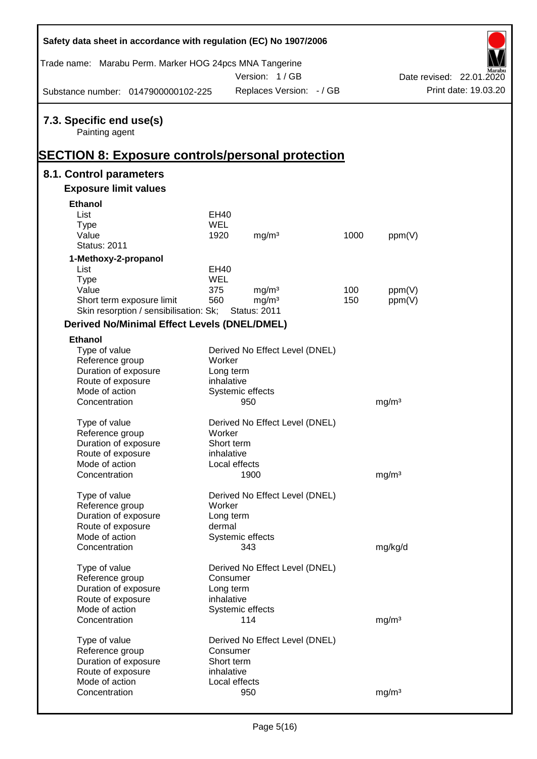| Safety data sheet in accordance with regulation (EC) No 1907/2006                                     |                    |                                        |      |                   |                          |
|-------------------------------------------------------------------------------------------------------|--------------------|----------------------------------------|------|-------------------|--------------------------|
| Trade name: Marabu Perm. Marker HOG 24pcs MNA Tangerine                                               |                    | Version: 1 / GB                        |      |                   | Date revised: 22.01.2020 |
| Substance number: 0147900000102-225                                                                   |                    | Replaces Version: - / GB               |      |                   | Print date: 19.03.20     |
| 7.3. Specific end use(s)<br>Painting agent<br><b>SECTION 8: Exposure controls/personal protection</b> |                    |                                        |      |                   |                          |
| 8.1. Control parameters                                                                               |                    |                                        |      |                   |                          |
| <b>Exposure limit values</b>                                                                          |                    |                                        |      |                   |                          |
| <b>Ethanol</b>                                                                                        |                    |                                        |      |                   |                          |
| List                                                                                                  | EH40               |                                        |      |                   |                          |
| <b>Type</b>                                                                                           | <b>WEL</b>         |                                        |      |                   |                          |
| Value                                                                                                 | 1920               | mg/m <sup>3</sup>                      | 1000 | ppm(V)            |                          |
| <b>Status: 2011</b>                                                                                   |                    |                                        |      |                   |                          |
|                                                                                                       |                    |                                        |      |                   |                          |
| 1-Methoxy-2-propanol                                                                                  |                    |                                        |      |                   |                          |
| List                                                                                                  | EH40<br><b>WEL</b> |                                        |      |                   |                          |
| <b>Type</b><br>Value                                                                                  | 375                |                                        | 100  |                   |                          |
|                                                                                                       | 560                | mg/m <sup>3</sup><br>mg/m <sup>3</sup> | 150  | ppm(V)            |                          |
| Short term exposure limit<br>Skin resorption / sensibilisation: Sk;                                   |                    | <b>Status: 2011</b>                    |      | ppm(V)            |                          |
|                                                                                                       |                    |                                        |      |                   |                          |
| <b>Derived No/Minimal Effect Levels (DNEL/DMEL)</b>                                                   |                    |                                        |      |                   |                          |
| <b>Ethanol</b>                                                                                        |                    |                                        |      |                   |                          |
| Type of value                                                                                         |                    | Derived No Effect Level (DNEL)         |      |                   |                          |
| Reference group                                                                                       | Worker             |                                        |      |                   |                          |
| Duration of exposure                                                                                  | Long term          |                                        |      |                   |                          |
| Route of exposure                                                                                     | inhalative         |                                        |      |                   |                          |
| Mode of action                                                                                        |                    | Systemic effects                       |      |                   |                          |
| Concentration                                                                                         |                    | 950                                    |      | mg/m <sup>3</sup> |                          |
| Type of value                                                                                         |                    | Derived No Effect Level (DNEL)         |      |                   |                          |
| Reference group                                                                                       | Worker             |                                        |      |                   |                          |
| Duration of exposure                                                                                  | Short term         |                                        |      |                   |                          |
| Route of exposure                                                                                     | inhalative         |                                        |      |                   |                          |
| Mode of action                                                                                        | Local effects      |                                        |      |                   |                          |
| Concentration                                                                                         |                    | 1900                                   |      | mg/m <sup>3</sup> |                          |
|                                                                                                       |                    |                                        |      |                   |                          |
| Type of value                                                                                         |                    | Derived No Effect Level (DNEL)         |      |                   |                          |
| Reference group                                                                                       | Worker             |                                        |      |                   |                          |
| Duration of exposure                                                                                  | Long term          |                                        |      |                   |                          |
| Route of exposure                                                                                     | dermal             |                                        |      |                   |                          |
| Mode of action                                                                                        |                    | Systemic effects                       |      |                   |                          |
| Concentration                                                                                         |                    | 343                                    |      | mg/kg/d           |                          |
|                                                                                                       |                    |                                        |      |                   |                          |
| Type of value                                                                                         |                    | Derived No Effect Level (DNEL)         |      |                   |                          |
| Reference group                                                                                       | Consumer           |                                        |      |                   |                          |
| Duration of exposure                                                                                  | Long term          |                                        |      |                   |                          |
| Route of exposure                                                                                     | inhalative         |                                        |      |                   |                          |
| Mode of action                                                                                        |                    | Systemic effects                       |      |                   |                          |
| Concentration                                                                                         |                    | 114                                    |      | mg/m <sup>3</sup> |                          |
| Type of value                                                                                         |                    | Derived No Effect Level (DNEL)         |      |                   |                          |
| Reference group                                                                                       | Consumer           |                                        |      |                   |                          |
| Duration of exposure                                                                                  | Short term         |                                        |      |                   |                          |
| Route of exposure                                                                                     | inhalative         |                                        |      |                   |                          |
| Mode of action                                                                                        | Local effects      |                                        |      |                   |                          |
| Concentration                                                                                         |                    | 950                                    |      | mg/m <sup>3</sup> |                          |
|                                                                                                       |                    |                                        |      |                   |                          |

 $\mathsf{r}$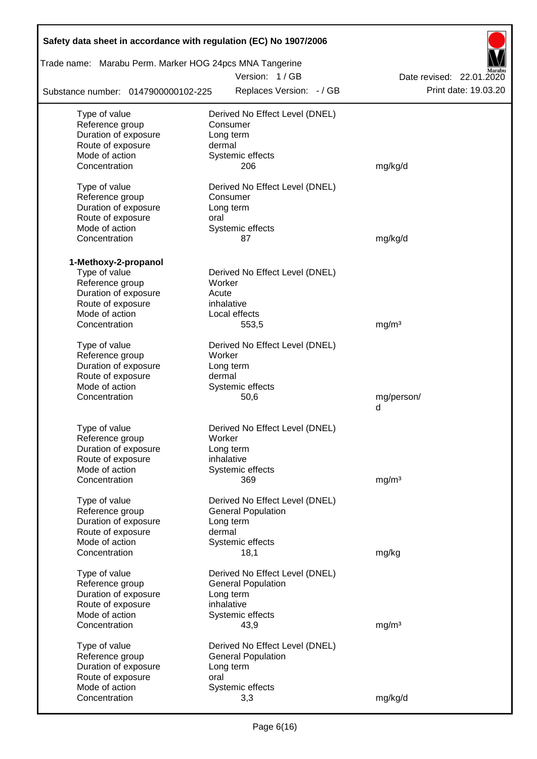| Safety data sheet in accordance with regulation (EC) No 1907/2006        |                                            |                                                  |  |  |  |  |  |  |  |
|--------------------------------------------------------------------------|--------------------------------------------|--------------------------------------------------|--|--|--|--|--|--|--|
| Trade name: Marabu Perm. Marker HOG 24pcs MNA Tangerine<br>Version: 1/GB |                                            |                                                  |  |  |  |  |  |  |  |
| Substance number: 0147900000102-225                                      | Replaces Version: - / GB                   | Date revised: 22.01.2020<br>Print date: 19.03.20 |  |  |  |  |  |  |  |
|                                                                          |                                            |                                                  |  |  |  |  |  |  |  |
| Type of value<br>Reference group                                         | Derived No Effect Level (DNEL)<br>Consumer |                                                  |  |  |  |  |  |  |  |
| Duration of exposure                                                     | Long term                                  |                                                  |  |  |  |  |  |  |  |
| Route of exposure                                                        | dermal                                     |                                                  |  |  |  |  |  |  |  |
| Mode of action                                                           | Systemic effects                           |                                                  |  |  |  |  |  |  |  |
| Concentration                                                            | 206                                        | mg/kg/d                                          |  |  |  |  |  |  |  |
| Type of value                                                            | Derived No Effect Level (DNEL)             |                                                  |  |  |  |  |  |  |  |
| Reference group                                                          | Consumer                                   |                                                  |  |  |  |  |  |  |  |
| Duration of exposure                                                     | Long term                                  |                                                  |  |  |  |  |  |  |  |
| Route of exposure                                                        | oral                                       |                                                  |  |  |  |  |  |  |  |
| Mode of action                                                           | Systemic effects                           |                                                  |  |  |  |  |  |  |  |
| Concentration                                                            | 87                                         | mg/kg/d                                          |  |  |  |  |  |  |  |
| 1-Methoxy-2-propanol                                                     |                                            |                                                  |  |  |  |  |  |  |  |
| Type of value                                                            | Derived No Effect Level (DNEL)             |                                                  |  |  |  |  |  |  |  |
| Reference group                                                          | Worker                                     |                                                  |  |  |  |  |  |  |  |
| Duration of exposure                                                     | Acute                                      |                                                  |  |  |  |  |  |  |  |
| Route of exposure                                                        | inhalative                                 |                                                  |  |  |  |  |  |  |  |
| Mode of action                                                           | Local effects                              |                                                  |  |  |  |  |  |  |  |
| Concentration                                                            | 553,5                                      | mg/m <sup>3</sup>                                |  |  |  |  |  |  |  |
| Type of value                                                            | Derived No Effect Level (DNEL)             |                                                  |  |  |  |  |  |  |  |
| Reference group                                                          | Worker                                     |                                                  |  |  |  |  |  |  |  |
| Duration of exposure                                                     | Long term                                  |                                                  |  |  |  |  |  |  |  |
| Route of exposure                                                        | dermal                                     |                                                  |  |  |  |  |  |  |  |
| Mode of action                                                           | Systemic effects                           |                                                  |  |  |  |  |  |  |  |
| Concentration                                                            | 50,6                                       | mg/person/                                       |  |  |  |  |  |  |  |
|                                                                          |                                            | d                                                |  |  |  |  |  |  |  |
| Type of value                                                            | Derived No Effect Level (DNEL)             |                                                  |  |  |  |  |  |  |  |
| Reference group                                                          | Worker                                     |                                                  |  |  |  |  |  |  |  |
| Duration of exposure                                                     | Long term                                  |                                                  |  |  |  |  |  |  |  |
| Route of exposure                                                        | inhalative                                 |                                                  |  |  |  |  |  |  |  |
| Mode of action                                                           | Systemic effects                           |                                                  |  |  |  |  |  |  |  |
| Concentration                                                            | 369                                        | mg/m <sup>3</sup>                                |  |  |  |  |  |  |  |
|                                                                          |                                            |                                                  |  |  |  |  |  |  |  |
| Type of value                                                            | Derived No Effect Level (DNEL)             |                                                  |  |  |  |  |  |  |  |
| Reference group                                                          | <b>General Population</b>                  |                                                  |  |  |  |  |  |  |  |
| Duration of exposure                                                     | Long term                                  |                                                  |  |  |  |  |  |  |  |
| Route of exposure                                                        | dermal                                     |                                                  |  |  |  |  |  |  |  |
| Mode of action                                                           | Systemic effects                           |                                                  |  |  |  |  |  |  |  |
| Concentration                                                            | 18,1                                       | mg/kg                                            |  |  |  |  |  |  |  |
| Type of value                                                            | Derived No Effect Level (DNEL)             |                                                  |  |  |  |  |  |  |  |
| Reference group                                                          | <b>General Population</b>                  |                                                  |  |  |  |  |  |  |  |
| Duration of exposure                                                     | Long term                                  |                                                  |  |  |  |  |  |  |  |
| Route of exposure                                                        | inhalative                                 |                                                  |  |  |  |  |  |  |  |
| Mode of action                                                           | Systemic effects                           |                                                  |  |  |  |  |  |  |  |
| Concentration                                                            | 43,9                                       | mg/m <sup>3</sup>                                |  |  |  |  |  |  |  |
| Type of value                                                            | Derived No Effect Level (DNEL)             |                                                  |  |  |  |  |  |  |  |
| Reference group                                                          | <b>General Population</b>                  |                                                  |  |  |  |  |  |  |  |
| Duration of exposure                                                     | Long term                                  |                                                  |  |  |  |  |  |  |  |
| Route of exposure                                                        | oral                                       |                                                  |  |  |  |  |  |  |  |
| Mode of action                                                           | Systemic effects                           |                                                  |  |  |  |  |  |  |  |
| Concentration                                                            | 3,3                                        | mg/kg/d                                          |  |  |  |  |  |  |  |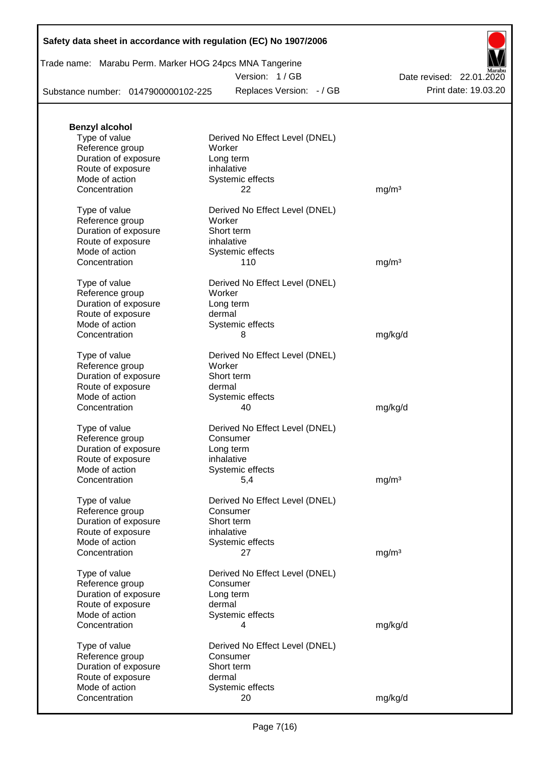## **Safety data sheet in accordance with regulation (EC) No 1907/2006**

| Trade name: Marabu Perm. Marker HOG 24pcs MNA Tangerine |
|---------------------------------------------------------|
|---------------------------------------------------------|

Version: 1 / GB

Substance number: 0147900000102-225

Replaces Version: - / GB Print date: 19.03.20 Date revised: 22.01.2020

| <b>Benzyl alcohol</b> |                                |                   |
|-----------------------|--------------------------------|-------------------|
| Type of value         | Derived No Effect Level (DNEL) |                   |
| Reference group       | Worker                         |                   |
| Duration of exposure  | Long term                      |                   |
| Route of exposure     | inhalative                     |                   |
| Mode of action        | Systemic effects               |                   |
| Concentration         | 22                             | mg/m <sup>3</sup> |
| Type of value         | Derived No Effect Level (DNEL) |                   |
| Reference group       | Worker                         |                   |
| Duration of exposure  | Short term                     |                   |
| Route of exposure     | inhalative                     |                   |
| Mode of action        | Systemic effects               |                   |
| Concentration         | 110                            | mg/m <sup>3</sup> |
| Type of value         | Derived No Effect Level (DNEL) |                   |
| Reference group       | Worker                         |                   |
| Duration of exposure  | Long term                      |                   |
| Route of exposure     | dermal                         |                   |
| Mode of action        | Systemic effects               |                   |
| Concentration         | 8                              | mg/kg/d           |
|                       |                                |                   |
| Type of value         | Derived No Effect Level (DNEL) |                   |
| Reference group       | Worker                         |                   |
| Duration of exposure  | Short term                     |                   |
| Route of exposure     | dermal                         |                   |
| Mode of action        | Systemic effects               |                   |
| Concentration         | 40                             | mg/kg/d           |
| Type of value         | Derived No Effect Level (DNEL) |                   |
| Reference group       | Consumer                       |                   |
| Duration of exposure  | Long term                      |                   |
| Route of exposure     | inhalative                     |                   |
| Mode of action        | Systemic effects               |                   |
| Concentration         | 5,4                            | mg/m <sup>3</sup> |
| Type of value         | Derived No Effect Level (DNEL) |                   |
| Reference group       | Consumer                       |                   |
| Duration of exposure  | Short term                     |                   |
| Route of exposure     | inhalative                     |                   |
| Mode of action        | Systemic effects               |                   |
| Concentration         | 27                             | mg/m <sup>3</sup> |
|                       |                                |                   |
| Type of value         | Derived No Effect Level (DNEL) |                   |
| Reference group       | Consumer                       |                   |
| Duration of exposure  | Long term                      |                   |
| Route of exposure     | dermal                         |                   |
| Mode of action        | Systemic effects               |                   |
| Concentration         | 4                              | mg/kg/d           |
| Type of value         | Derived No Effect Level (DNEL) |                   |
| Reference group       | Consumer                       |                   |
| Duration of exposure  | Short term                     |                   |
| Route of exposure     | dermal                         |                   |
| Mode of action        | Systemic effects               |                   |
| Concentration         | 20                             | mg/kg/d           |
|                       |                                |                   |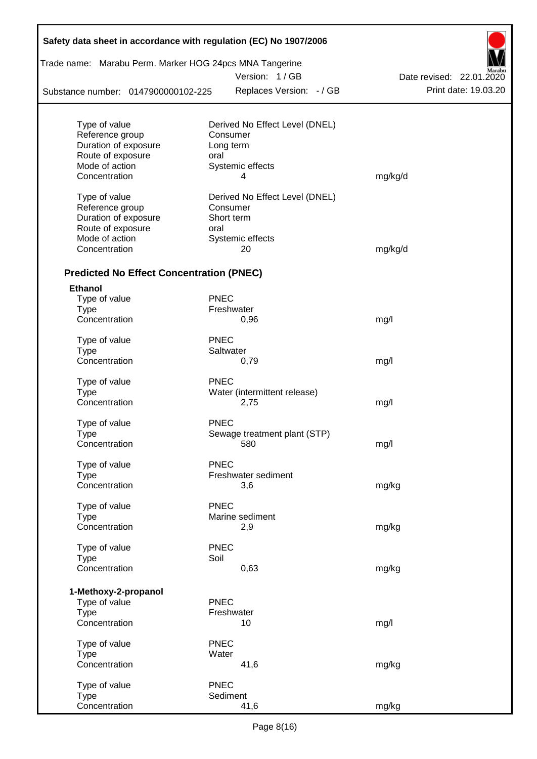| Safety data sheet in accordance with regulation (EC) No 1907/2006 |             |                                |                          |
|-------------------------------------------------------------------|-------------|--------------------------------|--------------------------|
| Trade name: Marabu Perm. Marker HOG 24pcs MNA Tangerine           |             | Version: 1/GB                  | Date revised: 22.01.2020 |
| Substance number: 0147900000102-225                               |             | Replaces Version: - / GB       | Print date: 19.03.20     |
|                                                                   |             |                                |                          |
| Type of value                                                     |             | Derived No Effect Level (DNEL) |                          |
| Reference group                                                   |             | Consumer                       |                          |
| Duration of exposure                                              |             | Long term                      |                          |
| Route of exposure                                                 | oral        |                                |                          |
| Mode of action                                                    |             | Systemic effects               |                          |
| Concentration                                                     |             | 4                              | mg/kg/d                  |
| Type of value                                                     |             | Derived No Effect Level (DNEL) |                          |
| Reference group                                                   |             | Consumer                       |                          |
| Duration of exposure                                              |             | Short term                     |                          |
| Route of exposure                                                 | oral        |                                |                          |
| Mode of action                                                    |             | Systemic effects               |                          |
| Concentration                                                     |             | 20                             | mg/kg/d                  |
|                                                                   |             |                                |                          |
| <b>Predicted No Effect Concentration (PNEC)</b>                   |             |                                |                          |
| <b>Ethanol</b>                                                    |             |                                |                          |
| Type of value                                                     | <b>PNEC</b> |                                |                          |
| <b>Type</b>                                                       |             | Freshwater                     |                          |
| Concentration                                                     |             | 0,96                           | mg/l                     |
| Type of value                                                     | <b>PNEC</b> |                                |                          |
| <b>Type</b>                                                       |             | Saltwater                      |                          |
| Concentration                                                     |             | 0,79                           | mg/l                     |
|                                                                   |             |                                |                          |
| Type of value                                                     | <b>PNEC</b> |                                |                          |
| <b>Type</b><br>Concentration                                      |             | Water (intermittent release)   |                          |
|                                                                   |             | 2,75                           | mg/l                     |
| Type of value                                                     | <b>PNEC</b> |                                |                          |
| Type                                                              |             | Sewage treatment plant (STP)   |                          |
| Concentration                                                     |             | 580                            | mg/l                     |
| Type of value                                                     | <b>PNEC</b> |                                |                          |
| <b>Type</b>                                                       |             | Freshwater sediment            |                          |
| Concentration                                                     |             | 3,6                            | mg/kg                    |
|                                                                   |             |                                |                          |
| Type of value                                                     | <b>PNEC</b> |                                |                          |
| <b>Type</b>                                                       |             | Marine sediment                |                          |
| Concentration                                                     |             | 2,9                            | mg/kg                    |
| Type of value                                                     | <b>PNEC</b> |                                |                          |
| Type                                                              | Soil        |                                |                          |
| Concentration                                                     |             | 0,63                           | mg/kg                    |
|                                                                   |             |                                |                          |
| 1-Methoxy-2-propanol                                              |             |                                |                          |
| Type of value                                                     | <b>PNEC</b> |                                |                          |
| <b>Type</b><br>Concentration                                      |             | Freshwater<br>10               | mg/l                     |
|                                                                   |             |                                |                          |
| Type of value                                                     | <b>PNEC</b> |                                |                          |
| <b>Type</b>                                                       | Water       |                                |                          |
| Concentration                                                     |             | 41,6                           | mg/kg                    |
| Type of value                                                     | <b>PNEC</b> |                                |                          |
| <b>Type</b>                                                       |             | Sediment                       |                          |
| Concentration                                                     |             | 41,6                           | mg/kg                    |
|                                                                   |             |                                |                          |

Г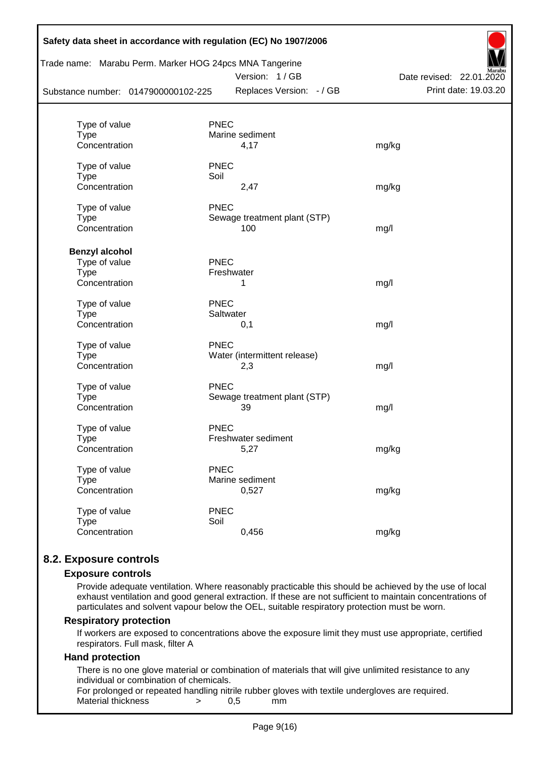| Substance number: 0147900000102-225 | Trade name: Marabu Perm. Marker HOG 24pcs MNA Tangerine<br>Version: 1/GB<br>Replaces Version: - / GB | Date revised: 22.01.2020<br>Print date: 19.03.20 |
|-------------------------------------|------------------------------------------------------------------------------------------------------|--------------------------------------------------|
| Type of value                       | <b>PNEC</b>                                                                                          |                                                  |
| Type                                | Marine sediment                                                                                      |                                                  |
| Concentration                       | 4,17                                                                                                 | mg/kg                                            |
| Type of value                       | <b>PNEC</b>                                                                                          |                                                  |
| <b>Type</b>                         | Soil                                                                                                 |                                                  |
| Concentration                       | 2,47                                                                                                 | mg/kg                                            |
| Type of value                       | <b>PNEC</b>                                                                                          |                                                  |
| <b>Type</b>                         | Sewage treatment plant (STP)                                                                         |                                                  |
| Concentration                       | 100                                                                                                  | mg/l                                             |
| <b>Benzyl alcohol</b>               |                                                                                                      |                                                  |
| Type of value                       | <b>PNEC</b>                                                                                          |                                                  |
| <b>Type</b>                         | Freshwater                                                                                           |                                                  |
| Concentration                       | 1                                                                                                    | mg/l                                             |
| Type of value                       | <b>PNEC</b>                                                                                          |                                                  |
| <b>Type</b>                         | Saltwater                                                                                            |                                                  |
| Concentration                       | 0,1                                                                                                  | mg/l                                             |
| Type of value                       | <b>PNEC</b>                                                                                          |                                                  |
| <b>Type</b>                         | Water (intermittent release)                                                                         |                                                  |
| Concentration                       | 2,3                                                                                                  | mg/l                                             |
| Type of value                       | <b>PNEC</b>                                                                                          |                                                  |
| <b>Type</b>                         | Sewage treatment plant (STP)                                                                         |                                                  |
| Concentration                       | 39                                                                                                   | mg/l                                             |
| Type of value                       | <b>PNEC</b>                                                                                          |                                                  |
| Type                                | Freshwater sediment                                                                                  |                                                  |
| Concentration                       | 5,27                                                                                                 | mg/kg                                            |
| Type of value                       | <b>PNEC</b>                                                                                          |                                                  |
| <b>Type</b>                         | Marine sediment                                                                                      |                                                  |
| Concentration                       | 0,527                                                                                                | mg/kg                                            |
| Type of value                       | <b>PNEC</b>                                                                                          |                                                  |
| <b>Type</b>                         | Soil                                                                                                 |                                                  |
| Concentration                       | 0,456                                                                                                | mg/kg                                            |

## **8.2. Exposure controls**

#### **Exposure controls**

Provide adequate ventilation. Where reasonably practicable this should be achieved by the use of local exhaust ventilation and good general extraction. If these are not sufficient to maintain concentrations of particulates and solvent vapour below the OEL, suitable respiratory protection must be worn.

#### **Respiratory protection**

If workers are exposed to concentrations above the exposure limit they must use appropriate, certified respirators. Full mask, filter A

#### **Hand protection**

There is no one glove material or combination of materials that will give unlimited resistance to any individual or combination of chemicals.

For prolonged or repeated handling nitrile rubber gloves with textile undergloves are required. Material thickness  $\rightarrow$  0.5 mm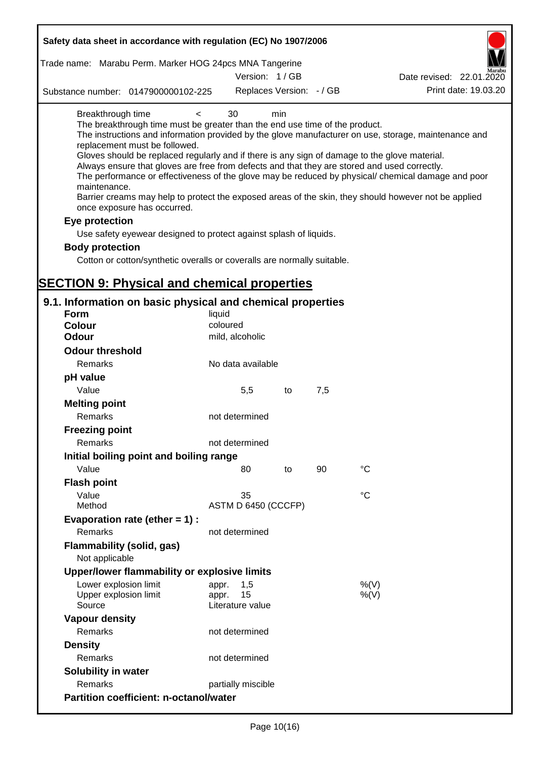| Safety data sheet in accordance with regulation (EC) No 1907/2006                                                                                                                                                                                                                                                                                                                            |                                                 |     |     |                                                                                                                                                                                                                                                                                                                    |
|----------------------------------------------------------------------------------------------------------------------------------------------------------------------------------------------------------------------------------------------------------------------------------------------------------------------------------------------------------------------------------------------|-------------------------------------------------|-----|-----|--------------------------------------------------------------------------------------------------------------------------------------------------------------------------------------------------------------------------------------------------------------------------------------------------------------------|
| Trade name: Marabu Perm. Marker HOG 24pcs MNA Tangerine                                                                                                                                                                                                                                                                                                                                      |                                                 |     |     |                                                                                                                                                                                                                                                                                                                    |
|                                                                                                                                                                                                                                                                                                                                                                                              | Version: 1/GB                                   |     |     | Date revised: 22.01.2020                                                                                                                                                                                                                                                                                           |
| Substance number: 0147900000102-225                                                                                                                                                                                                                                                                                                                                                          | Replaces Version: - / GB                        |     |     | Print date: 19.03.20                                                                                                                                                                                                                                                                                               |
| Breakthrough time<br>$\,<\,$<br>The breakthrough time must be greater than the end use time of the product.<br>replacement must be followed.<br>Gloves should be replaced regularly and if there is any sign of damage to the glove material.<br>Always ensure that gloves are free from defects and that they are stored and used correctly.<br>maintenance.<br>once exposure has occurred. | 30                                              | min |     | The instructions and information provided by the glove manufacturer on use, storage, maintenance and<br>The performance or effectiveness of the glove may be reduced by physical/ chemical damage and poor<br>Barrier creams may help to protect the exposed areas of the skin, they should however not be applied |
| Eye protection                                                                                                                                                                                                                                                                                                                                                                               |                                                 |     |     |                                                                                                                                                                                                                                                                                                                    |
| Use safety eyewear designed to protect against splash of liquids.                                                                                                                                                                                                                                                                                                                            |                                                 |     |     |                                                                                                                                                                                                                                                                                                                    |
| <b>Body protection</b>                                                                                                                                                                                                                                                                                                                                                                       |                                                 |     |     |                                                                                                                                                                                                                                                                                                                    |
| Cotton or cotton/synthetic overalls or coveralls are normally suitable.                                                                                                                                                                                                                                                                                                                      |                                                 |     |     |                                                                                                                                                                                                                                                                                                                    |
|                                                                                                                                                                                                                                                                                                                                                                                              |                                                 |     |     |                                                                                                                                                                                                                                                                                                                    |
| <b>SECTION 9: Physical and chemical properties</b>                                                                                                                                                                                                                                                                                                                                           |                                                 |     |     |                                                                                                                                                                                                                                                                                                                    |
| 9.1. Information on basic physical and chemical properties                                                                                                                                                                                                                                                                                                                                   |                                                 |     |     |                                                                                                                                                                                                                                                                                                                    |
| <b>Form</b>                                                                                                                                                                                                                                                                                                                                                                                  | liquid                                          |     |     |                                                                                                                                                                                                                                                                                                                    |
| <b>Colour</b>                                                                                                                                                                                                                                                                                                                                                                                | coloured                                        |     |     |                                                                                                                                                                                                                                                                                                                    |
| <b>Odour</b>                                                                                                                                                                                                                                                                                                                                                                                 | mild, alcoholic                                 |     |     |                                                                                                                                                                                                                                                                                                                    |
| <b>Odour threshold</b>                                                                                                                                                                                                                                                                                                                                                                       |                                                 |     |     |                                                                                                                                                                                                                                                                                                                    |
| Remarks                                                                                                                                                                                                                                                                                                                                                                                      | No data available                               |     |     |                                                                                                                                                                                                                                                                                                                    |
| pH value                                                                                                                                                                                                                                                                                                                                                                                     |                                                 |     |     |                                                                                                                                                                                                                                                                                                                    |
| Value                                                                                                                                                                                                                                                                                                                                                                                        | 5,5                                             | to  | 7,5 |                                                                                                                                                                                                                                                                                                                    |
| <b>Melting point</b>                                                                                                                                                                                                                                                                                                                                                                         |                                                 |     |     |                                                                                                                                                                                                                                                                                                                    |
| Remarks                                                                                                                                                                                                                                                                                                                                                                                      | not determined                                  |     |     |                                                                                                                                                                                                                                                                                                                    |
| <b>Freezing point</b>                                                                                                                                                                                                                                                                                                                                                                        |                                                 |     |     |                                                                                                                                                                                                                                                                                                                    |
| Remarks                                                                                                                                                                                                                                                                                                                                                                                      | not determined                                  |     |     |                                                                                                                                                                                                                                                                                                                    |
| Initial boiling point and boiling range                                                                                                                                                                                                                                                                                                                                                      |                                                 |     |     |                                                                                                                                                                                                                                                                                                                    |
| Value                                                                                                                                                                                                                                                                                                                                                                                        | 80                                              | to  | 90  | $^{\circ}C$                                                                                                                                                                                                                                                                                                        |
| <b>Flash point</b>                                                                                                                                                                                                                                                                                                                                                                           |                                                 |     |     |                                                                                                                                                                                                                                                                                                                    |
| Value                                                                                                                                                                                                                                                                                                                                                                                        | 35                                              |     |     | $^{\circ}C$                                                                                                                                                                                                                                                                                                        |
| Method                                                                                                                                                                                                                                                                                                                                                                                       | ASTM D 6450 (CCCFP)                             |     |     |                                                                                                                                                                                                                                                                                                                    |
| Evaporation rate (ether $= 1$ ) :                                                                                                                                                                                                                                                                                                                                                            |                                                 |     |     |                                                                                                                                                                                                                                                                                                                    |
| Remarks                                                                                                                                                                                                                                                                                                                                                                                      | not determined                                  |     |     |                                                                                                                                                                                                                                                                                                                    |
| <b>Flammability (solid, gas)</b>                                                                                                                                                                                                                                                                                                                                                             |                                                 |     |     |                                                                                                                                                                                                                                                                                                                    |
| Not applicable                                                                                                                                                                                                                                                                                                                                                                               |                                                 |     |     |                                                                                                                                                                                                                                                                                                                    |
| Upper/lower flammability or explosive limits                                                                                                                                                                                                                                                                                                                                                 |                                                 |     |     |                                                                                                                                                                                                                                                                                                                    |
| Lower explosion limit<br>Upper explosion limit<br>Source                                                                                                                                                                                                                                                                                                                                     | 1,5<br>appr.<br>15<br>appr.<br>Literature value |     |     | %(V)<br>$%$ (V)                                                                                                                                                                                                                                                                                                    |
| <b>Vapour density</b>                                                                                                                                                                                                                                                                                                                                                                        |                                                 |     |     |                                                                                                                                                                                                                                                                                                                    |
| Remarks                                                                                                                                                                                                                                                                                                                                                                                      | not determined                                  |     |     |                                                                                                                                                                                                                                                                                                                    |
| <b>Density</b>                                                                                                                                                                                                                                                                                                                                                                               |                                                 |     |     |                                                                                                                                                                                                                                                                                                                    |
| Remarks                                                                                                                                                                                                                                                                                                                                                                                      | not determined                                  |     |     |                                                                                                                                                                                                                                                                                                                    |
| Solubility in water                                                                                                                                                                                                                                                                                                                                                                          |                                                 |     |     |                                                                                                                                                                                                                                                                                                                    |
| Remarks                                                                                                                                                                                                                                                                                                                                                                                      | partially miscible                              |     |     |                                                                                                                                                                                                                                                                                                                    |
| <b>Partition coefficient: n-octanol/water</b>                                                                                                                                                                                                                                                                                                                                                |                                                 |     |     |                                                                                                                                                                                                                                                                                                                    |
|                                                                                                                                                                                                                                                                                                                                                                                              |                                                 |     |     |                                                                                                                                                                                                                                                                                                                    |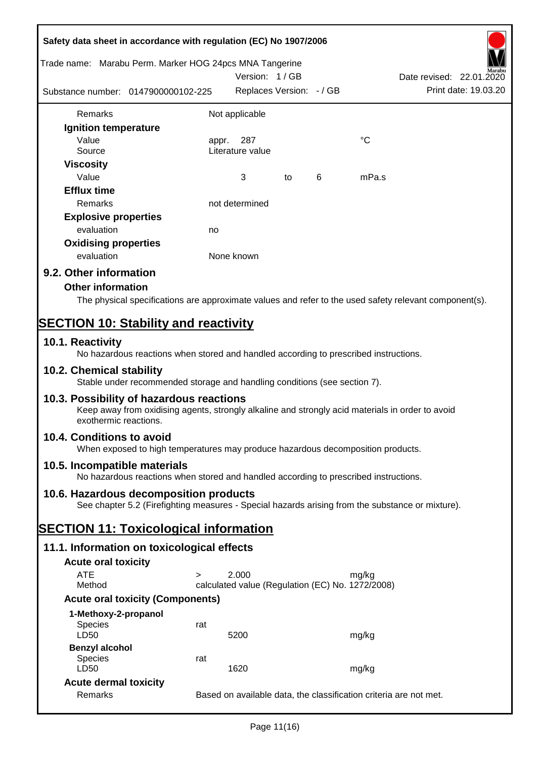| Safety data sheet in accordance with regulation (EC) No 1907/2006 |                                                                                                  |                                                                   |                          |   |             |                                                                                                        |  |
|-------------------------------------------------------------------|--------------------------------------------------------------------------------------------------|-------------------------------------------------------------------|--------------------------|---|-------------|--------------------------------------------------------------------------------------------------------|--|
| Trade name: Marabu Perm. Marker HOG 24pcs MNA Tangerine           |                                                                                                  |                                                                   | Version: 1/GB            |   |             | Date revised: 22.01.2020                                                                               |  |
| Substance number: 0147900000102-225                               |                                                                                                  |                                                                   | Replaces Version: - / GB |   |             | Print date: 19.03.20                                                                                   |  |
| Remarks                                                           |                                                                                                  | Not applicable                                                    |                          |   |             |                                                                                                        |  |
| Ignition temperature                                              |                                                                                                  |                                                                   |                          |   |             |                                                                                                        |  |
| Value                                                             |                                                                                                  | 287<br>appr.                                                      |                          |   | $^{\circ}C$ |                                                                                                        |  |
| Source                                                            |                                                                                                  | Literature value                                                  |                          |   |             |                                                                                                        |  |
| <b>Viscosity</b><br>Value                                         |                                                                                                  | 3                                                                 | to                       | 6 | mPa.s       |                                                                                                        |  |
| <b>Efflux time</b>                                                |                                                                                                  |                                                                   |                          |   |             |                                                                                                        |  |
| Remarks                                                           |                                                                                                  | not determined                                                    |                          |   |             |                                                                                                        |  |
| <b>Explosive properties</b>                                       |                                                                                                  |                                                                   |                          |   |             |                                                                                                        |  |
| evaluation                                                        |                                                                                                  | no                                                                |                          |   |             |                                                                                                        |  |
| <b>Oxidising properties</b>                                       |                                                                                                  |                                                                   |                          |   |             |                                                                                                        |  |
| evaluation                                                        |                                                                                                  | None known                                                        |                          |   |             |                                                                                                        |  |
| 9.2. Other information                                            |                                                                                                  |                                                                   |                          |   |             |                                                                                                        |  |
| <b>Other information</b>                                          |                                                                                                  |                                                                   |                          |   |             |                                                                                                        |  |
|                                                                   |                                                                                                  |                                                                   |                          |   |             | The physical specifications are approximate values and refer to the used safety relevant component(s). |  |
| <b>SECTION 10: Stability and reactivity</b>                       |                                                                                                  |                                                                   |                          |   |             |                                                                                                        |  |
| 10.1. Reactivity                                                  | No hazardous reactions when stored and handled according to prescribed instructions.             |                                                                   |                          |   |             |                                                                                                        |  |
| 10.2. Chemical stability                                          | Stable under recommended storage and handling conditions (see section 7).                        |                                                                   |                          |   |             |                                                                                                        |  |
| 10.3. Possibility of hazardous reactions<br>exothermic reactions. | Keep away from oxidising agents, strongly alkaline and strongly acid materials in order to avoid |                                                                   |                          |   |             |                                                                                                        |  |
| 10.4. Conditions to avoid                                         | When exposed to high temperatures may produce hazardous decomposition products.                  |                                                                   |                          |   |             |                                                                                                        |  |
| 10.5. Incompatible materials                                      | No hazardous reactions when stored and handled according to prescribed instructions.             |                                                                   |                          |   |             |                                                                                                        |  |
| 10.6. Hazardous decomposition products                            | See chapter 5.2 (Firefighting measures - Special hazards arising from the substance or mixture). |                                                                   |                          |   |             |                                                                                                        |  |
| <b>SECTION 11: Toxicological information</b>                      |                                                                                                  |                                                                   |                          |   |             |                                                                                                        |  |
| 11.1. Information on toxicological effects                        |                                                                                                  |                                                                   |                          |   |             |                                                                                                        |  |
| <b>Acute oral toxicity</b>                                        |                                                                                                  |                                                                   |                          |   |             |                                                                                                        |  |
| <b>ATE</b>                                                        | $\geq$                                                                                           | 2.000                                                             |                          |   | mg/kg       |                                                                                                        |  |
| Method                                                            |                                                                                                  | calculated value (Regulation (EC) No. 1272/2008)                  |                          |   |             |                                                                                                        |  |
|                                                                   | <b>Acute oral toxicity (Components)</b>                                                          |                                                                   |                          |   |             |                                                                                                        |  |
| 1-Methoxy-2-propanol<br>Species                                   | rat                                                                                              |                                                                   |                          |   |             |                                                                                                        |  |
| LD50<br><b>Benzyl alcohol</b>                                     |                                                                                                  | 5200                                                              |                          |   | mg/kg       |                                                                                                        |  |
| <b>Species</b><br>LD50                                            | rat                                                                                              | 1620                                                              |                          |   | mg/kg       |                                                                                                        |  |
| <b>Acute dermal toxicity</b>                                      |                                                                                                  |                                                                   |                          |   |             |                                                                                                        |  |
| Remarks                                                           |                                                                                                  | Based on available data, the classification criteria are not met. |                          |   |             |                                                                                                        |  |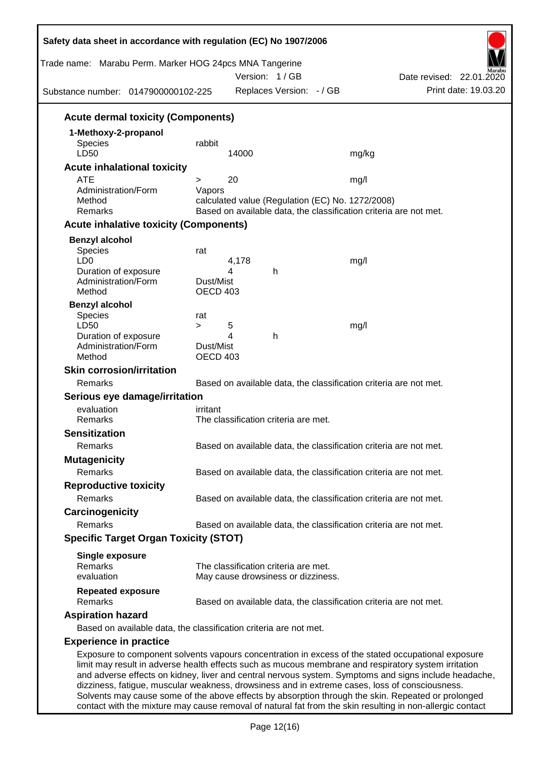| Trade name: Marabu Perm. Marker HOG 24pcs MNA Tangerine<br>Substance number: 0147900000102-225       |                 |       | Version: 1/GB<br>Replaces Version: - / GB |                                                  | Date revised: 22.01.2020<br>Print date: 19.03.20                                                                                                                                                            |
|------------------------------------------------------------------------------------------------------|-----------------|-------|-------------------------------------------|--------------------------------------------------|-------------------------------------------------------------------------------------------------------------------------------------------------------------------------------------------------------------|
| <b>Acute dermal toxicity (Components)</b>                                                            |                 |       |                                           |                                                  |                                                                                                                                                                                                             |
| 1-Methoxy-2-propanol                                                                                 |                 |       |                                           |                                                  |                                                                                                                                                                                                             |
| Species                                                                                              | rabbit          |       |                                           |                                                  |                                                                                                                                                                                                             |
| LD50                                                                                                 |                 | 14000 |                                           | mg/kg                                            |                                                                                                                                                                                                             |
| <b>Acute inhalational toxicity</b>                                                                   |                 |       |                                           |                                                  |                                                                                                                                                                                                             |
| <b>ATE</b>                                                                                           | >               | 20    |                                           | mg/l                                             |                                                                                                                                                                                                             |
| Administration/Form                                                                                  | Vapors          |       |                                           |                                                  |                                                                                                                                                                                                             |
| Method<br>Remarks                                                                                    |                 |       |                                           | calculated value (Regulation (EC) No. 1272/2008) | Based on available data, the classification criteria are not met.                                                                                                                                           |
| <b>Acute inhalative toxicity (Components)</b>                                                        |                 |       |                                           |                                                  |                                                                                                                                                                                                             |
|                                                                                                      |                 |       |                                           |                                                  |                                                                                                                                                                                                             |
| <b>Benzyl alcohol</b><br>Species                                                                     | rat             |       |                                           |                                                  |                                                                                                                                                                                                             |
| LD <sub>0</sub>                                                                                      |                 | 4,178 |                                           | mg/l                                             |                                                                                                                                                                                                             |
| Duration of exposure                                                                                 |                 | 4     | h                                         |                                                  |                                                                                                                                                                                                             |
| Administration/Form                                                                                  | Dust/Mist       |       |                                           |                                                  |                                                                                                                                                                                                             |
| Method                                                                                               | <b>OECD 403</b> |       |                                           |                                                  |                                                                                                                                                                                                             |
| <b>Benzyl alcohol</b>                                                                                |                 |       |                                           |                                                  |                                                                                                                                                                                                             |
| Species<br>LD50                                                                                      | rat<br>$\geq$   | 5     |                                           | mg/l                                             |                                                                                                                                                                                                             |
| Duration of exposure                                                                                 |                 | 4     | h                                         |                                                  |                                                                                                                                                                                                             |
| Administration/Form                                                                                  | Dust/Mist       |       |                                           |                                                  |                                                                                                                                                                                                             |
| Method                                                                                               | <b>OECD 403</b> |       |                                           |                                                  |                                                                                                                                                                                                             |
| <b>Skin corrosion/irritation</b>                                                                     |                 |       |                                           |                                                  |                                                                                                                                                                                                             |
| Remarks                                                                                              |                 |       |                                           |                                                  | Based on available data, the classification criteria are not met.                                                                                                                                           |
| Serious eye damage/irritation                                                                        |                 |       |                                           |                                                  |                                                                                                                                                                                                             |
| evaluation                                                                                           | irritant        |       |                                           |                                                  |                                                                                                                                                                                                             |
| Remarks                                                                                              |                 |       | The classification criteria are met.      |                                                  |                                                                                                                                                                                                             |
| <b>Sensitization</b>                                                                                 |                 |       |                                           |                                                  |                                                                                                                                                                                                             |
| Remarks                                                                                              |                 |       |                                           |                                                  | Based on available data, the classification criteria are not met.                                                                                                                                           |
| <b>Mutagenicity</b>                                                                                  |                 |       |                                           |                                                  |                                                                                                                                                                                                             |
| Remarks                                                                                              |                 |       |                                           |                                                  | Based on available data, the classification criteria are not met.                                                                                                                                           |
| <b>Reproductive toxicity</b>                                                                         |                 |       |                                           |                                                  |                                                                                                                                                                                                             |
| Remarks                                                                                              |                 |       |                                           |                                                  | Based on available data, the classification criteria are not met.                                                                                                                                           |
| Carcinogenicity                                                                                      |                 |       |                                           |                                                  |                                                                                                                                                                                                             |
| Remarks                                                                                              |                 |       |                                           |                                                  | Based on available data, the classification criteria are not met.                                                                                                                                           |
| <b>Specific Target Organ Toxicity (STOT)</b>                                                         |                 |       |                                           |                                                  |                                                                                                                                                                                                             |
| <b>Single exposure</b>                                                                               |                 |       |                                           |                                                  |                                                                                                                                                                                                             |
| Remarks                                                                                              |                 |       | The classification criteria are met.      |                                                  |                                                                                                                                                                                                             |
| evaluation                                                                                           |                 |       | May cause drowsiness or dizziness.        |                                                  |                                                                                                                                                                                                             |
| <b>Repeated exposure</b><br>Remarks                                                                  |                 |       |                                           |                                                  | Based on available data, the classification criteria are not met.                                                                                                                                           |
| <b>Aspiration hazard</b>                                                                             |                 |       |                                           |                                                  |                                                                                                                                                                                                             |
| Based on available data, the classification criteria are not met.                                    |                 |       |                                           |                                                  |                                                                                                                                                                                                             |
| <b>Experience in practice</b>                                                                        |                 |       |                                           |                                                  |                                                                                                                                                                                                             |
| limit may result in adverse health effects such as mucous membrane and respiratory system irritation |                 |       |                                           |                                                  | Exposure to component solvents vapours concentration in excess of the stated occupational exposure<br>and adverse effects on kidney, liver and central nervous system. Symptoms and signs include headache, |

dizziness, fatigue, muscular weakness, drowsiness and in extreme cases, loss of consciousness. Solvents may cause some of the above effects by absorption through the skin. Repeated or prolonged contact with the mixture may cause removal of natural fat from the skin resulting in non-allergic contact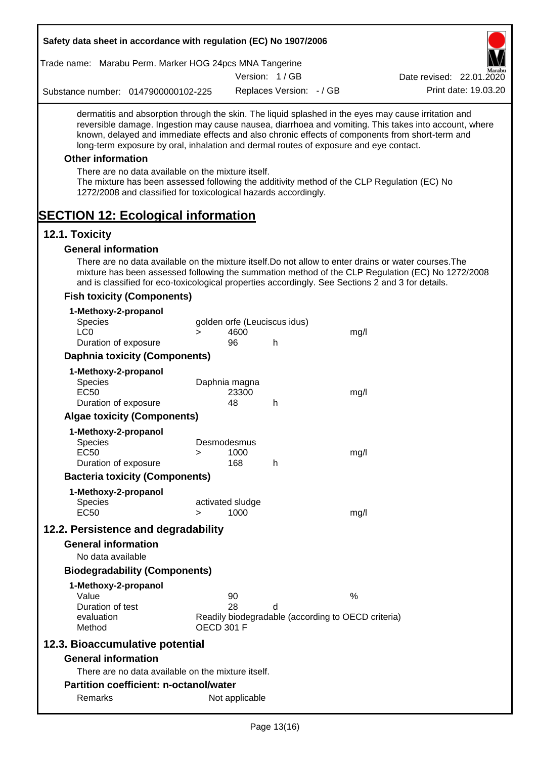| Safety data sheet in accordance with regulation (EC) No 1907/2006                                                                                                                                                                                                                                |        |                              |                          |                                                    |                                                                                                       |
|--------------------------------------------------------------------------------------------------------------------------------------------------------------------------------------------------------------------------------------------------------------------------------------------------|--------|------------------------------|--------------------------|----------------------------------------------------|-------------------------------------------------------------------------------------------------------|
| Trade name: Marabu Perm. Marker HOG 24pcs MNA Tangerine                                                                                                                                                                                                                                          |        |                              |                          |                                                    |                                                                                                       |
|                                                                                                                                                                                                                                                                                                  |        |                              | Version: 1/GB            |                                                    | Date revised: 22.01.2020                                                                              |
| Substance number: 0147900000102-225                                                                                                                                                                                                                                                              |        |                              | Replaces Version: - / GB |                                                    | Print date: 19.03.20                                                                                  |
| dermatitis and absorption through the skin. The liquid splashed in the eyes may cause irritation and<br>known, delayed and immediate effects and also chronic effects of components from short-term and<br>long-term exposure by oral, inhalation and dermal routes of exposure and eye contact. |        |                              |                          |                                                    | reversible damage. Ingestion may cause nausea, diarrhoea and vomiting. This takes into account, where |
| <b>Other information</b>                                                                                                                                                                                                                                                                         |        |                              |                          |                                                    |                                                                                                       |
| There are no data available on the mixture itself.<br>The mixture has been assessed following the additivity method of the CLP Regulation (EC) No<br>1272/2008 and classified for toxicological hazards accordingly.                                                                             |        |                              |                          |                                                    |                                                                                                       |
| <b>SECTION 12: Ecological information</b>                                                                                                                                                                                                                                                        |        |                              |                          |                                                    |                                                                                                       |
| 12.1. Toxicity                                                                                                                                                                                                                                                                                   |        |                              |                          |                                                    |                                                                                                       |
| <b>General information</b>                                                                                                                                                                                                                                                                       |        |                              |                          |                                                    |                                                                                                       |
| There are no data available on the mixture itself. Do not allow to enter drains or water courses. The<br>and is classified for eco-toxicological properties accordingly. See Sections 2 and 3 for details.                                                                                       |        |                              |                          |                                                    | mixture has been assessed following the summation method of the CLP Regulation (EC) No 1272/2008      |
| <b>Fish toxicity (Components)</b>                                                                                                                                                                                                                                                                |        |                              |                          |                                                    |                                                                                                       |
| 1-Methoxy-2-propanol                                                                                                                                                                                                                                                                             |        |                              |                          |                                                    |                                                                                                       |
| <b>Species</b><br>LC <sub>0</sub>                                                                                                                                                                                                                                                                |        | golden orfe (Leuciscus idus) |                          |                                                    |                                                                                                       |
| Duration of exposure                                                                                                                                                                                                                                                                             | $\geq$ | 4600<br>96                   | h                        | mg/l                                               |                                                                                                       |
| <b>Daphnia toxicity (Components)</b>                                                                                                                                                                                                                                                             |        |                              |                          |                                                    |                                                                                                       |
| 1-Methoxy-2-propanol                                                                                                                                                                                                                                                                             |        |                              |                          |                                                    |                                                                                                       |
| <b>Species</b>                                                                                                                                                                                                                                                                                   |        | Daphnia magna                |                          |                                                    |                                                                                                       |
| <b>EC50</b>                                                                                                                                                                                                                                                                                      |        | 23300                        |                          | mg/l                                               |                                                                                                       |
| Duration of exposure<br><b>Algae toxicity (Components)</b>                                                                                                                                                                                                                                       |        | 48                           | h                        |                                                    |                                                                                                       |
|                                                                                                                                                                                                                                                                                                  |        |                              |                          |                                                    |                                                                                                       |
| 1-Methoxy-2-propanol<br><b>Species</b>                                                                                                                                                                                                                                                           |        | Desmodesmus                  |                          |                                                    |                                                                                                       |
| <b>EC50</b>                                                                                                                                                                                                                                                                                      | ⋗      | 1000                         |                          | mg/l                                               |                                                                                                       |
| Duration of exposure                                                                                                                                                                                                                                                                             |        | 168                          | h                        |                                                    |                                                                                                       |
| <b>Bacteria toxicity (Components)</b>                                                                                                                                                                                                                                                            |        |                              |                          |                                                    |                                                                                                       |
| 1-Methoxy-2-propanol                                                                                                                                                                                                                                                                             |        |                              |                          |                                                    |                                                                                                       |
| <b>Species</b><br><b>EC50</b>                                                                                                                                                                                                                                                                    | $\geq$ | activated sludge<br>1000     |                          | mg/l                                               |                                                                                                       |
| 12.2. Persistence and degradability                                                                                                                                                                                                                                                              |        |                              |                          |                                                    |                                                                                                       |
| <b>General information</b>                                                                                                                                                                                                                                                                       |        |                              |                          |                                                    |                                                                                                       |
| No data available                                                                                                                                                                                                                                                                                |        |                              |                          |                                                    |                                                                                                       |
| <b>Biodegradability (Components)</b>                                                                                                                                                                                                                                                             |        |                              |                          |                                                    |                                                                                                       |
| 1-Methoxy-2-propanol                                                                                                                                                                                                                                                                             |        |                              |                          |                                                    |                                                                                                       |
| Value                                                                                                                                                                                                                                                                                            |        | 90                           |                          | $\%$                                               |                                                                                                       |
| Duration of test                                                                                                                                                                                                                                                                                 |        | 28                           | d                        |                                                    |                                                                                                       |
| evaluation<br>Method                                                                                                                                                                                                                                                                             |        | <b>OECD 301 F</b>            |                          | Readily biodegradable (according to OECD criteria) |                                                                                                       |
| 12.3. Bioaccumulative potential                                                                                                                                                                                                                                                                  |        |                              |                          |                                                    |                                                                                                       |
| <b>General information</b>                                                                                                                                                                                                                                                                       |        |                              |                          |                                                    |                                                                                                       |
| There are no data available on the mixture itself.                                                                                                                                                                                                                                               |        |                              |                          |                                                    |                                                                                                       |
| <b>Partition coefficient: n-octanol/water</b>                                                                                                                                                                                                                                                    |        |                              |                          |                                                    |                                                                                                       |
| Remarks                                                                                                                                                                                                                                                                                          |        | Not applicable               |                          |                                                    |                                                                                                       |
|                                                                                                                                                                                                                                                                                                  |        |                              |                          |                                                    |                                                                                                       |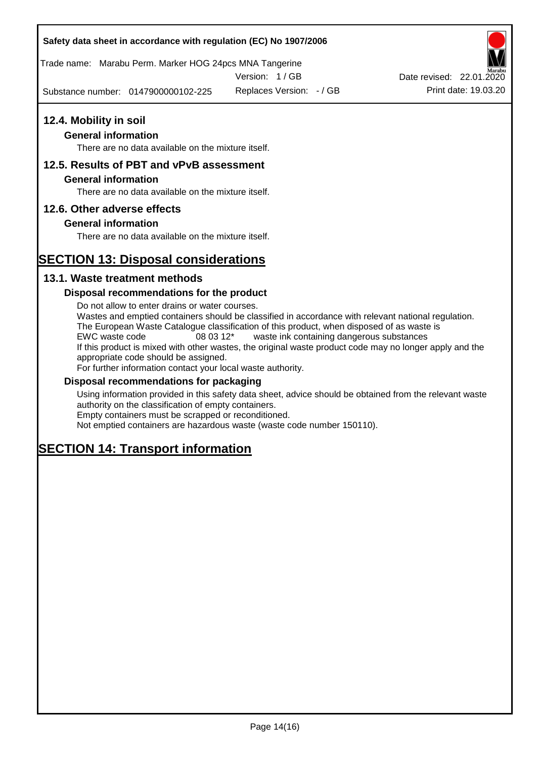## **Safety data sheet in accordance with regulation (EC) No 1907/2006**

Trade name: Marabu Perm. Marker HOG 24pcs MNA Tangerine

Version: 1 / GB

Substance number: 0147900000102-225

## **12.4. Mobility in soil**

## **General information**

There are no data available on the mixture itself.

## **12.5. Results of PBT and vPvB assessment**

#### **General information**

There are no data available on the mixture itself.

## **12.6. Other adverse effects**

## **General information**

There are no data available on the mixture itself.

# **SECTION 13: Disposal considerations**

## **13.1. Waste treatment methods**

## **Disposal recommendations for the product**

Do not allow to enter drains or water courses. Wastes and emptied containers should be classified in accordance with relevant national regulation. The European Waste Catalogue classification of this product, when disposed of as waste is EWC waste code 08 03 12\* waste ink containing dangerous substances If this product is mixed with other wastes, the original waste product code may no longer apply and the appropriate code should be assigned. For further information contact your local waste authority.

#### **Disposal recommendations for packaging**

Using information provided in this safety data sheet, advice should be obtained from the relevant waste authority on the classification of empty containers. Empty containers must be scrapped or reconditioned.

Not emptied containers are hazardous waste (waste code number 150110).

# **SECTION 14: Transport information**



Replaces Version:  $-$  / GB Print date: 19.03.20 Date revised: 22.01.2020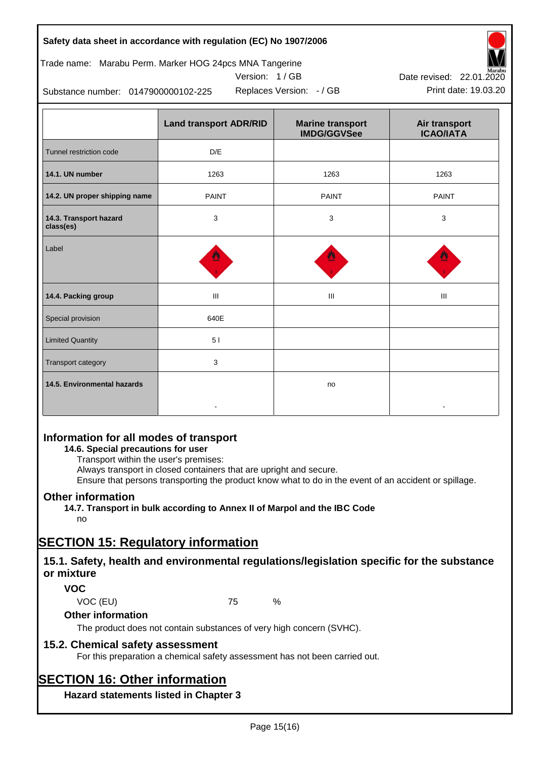## **Safety data sheet in accordance with regulation (EC) No 1907/2006**

## Trade name: Marabu Perm. Marker HOG 24pcs MNA Tangerine





Replaces Version:  $-$  / GB Print date: 19.03.20 Date revised: 22.01.2020

Substance number: 0147900000102-225

|                                     | <b>Land transport ADR/RID</b> | <b>Marine transport</b><br><b>IMDG/GGVSee</b> | Air transport<br><b>ICAO/IATA</b> |
|-------------------------------------|-------------------------------|-----------------------------------------------|-----------------------------------|
| Tunnel restriction code             | D/E                           |                                               |                                   |
| 14.1. UN number                     | 1263                          | 1263                                          | 1263                              |
| 14.2. UN proper shipping name       | <b>PAINT</b>                  | <b>PAINT</b>                                  | <b>PAINT</b>                      |
| 14.3. Transport hazard<br>class(es) | 3                             | 3                                             | 3                                 |
| Label                               |                               |                                               |                                   |
| 14.4. Packing group                 | Ш                             | Ш                                             | Ш                                 |
| Special provision                   | 640E                          |                                               |                                   |
| <b>Limited Quantity</b>             | 51                            |                                               |                                   |
| Transport category                  | 3                             |                                               |                                   |
| 14.5. Environmental hazards         |                               | no                                            |                                   |

## **Information for all modes of transport**

## **14.6. Special precautions for user**

Transport within the user's premises:

Always transport in closed containers that are upright and secure.

Ensure that persons transporting the product know what to do in the event of an accident or spillage.

## **Other information**

**14.7. Transport in bulk according to Annex II of Marpol and the IBC Code** no

# **SECTION 15: Regulatory information**

## **15.1. Safety, health and environmental regulations/legislation specific for the substance or mixture**

## **VOC**

VOC (EU) 75 %

## **Other information**

The product does not contain substances of very high concern (SVHC).

## **15.2. Chemical safety assessment**

For this preparation a chemical safety assessment has not been carried out.

# **SECTION 16: Other information**

**Hazard statements listed in Chapter 3**